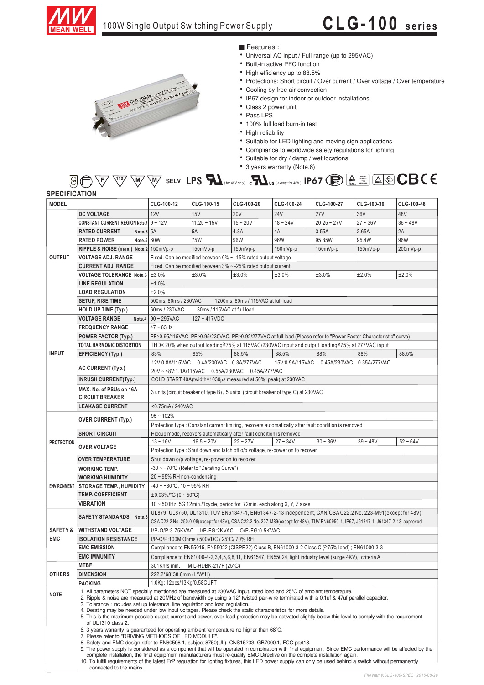

## **CLG-100 series**



■ Features :

- Universal AC input / Full range (up to 295VAC)
- Built-in active PFC function
- High efficiency up to 88.5%
- Protections: Short circuit / Over current / Over voltage / Over temperature
- Cooling by free air convection
- IP67 design for indoor or outdoor installations
- Class 2 power unit
- Pass LPS
- · 100% full load burn-in test
- High reliability
- Suitable for LED lighting and moving sign applications
- Compliance to worldwide safety regulations for lighting
- Suitable for dry / damp / wet locations
- 3 years warranty (Note.6)

## $\overline{F}$ /  $\overline{\setminus}$   $\overline{\setminus}$   $\overline{\setminus}$   $\overline{\setminus}$   $\overline{\setminus}$   $\overline{\setminus}$   $\overline{\setminus}$  **. ELV**  $\overline{\bigcup}$   $\overline{\bigcup}$   $\overline{\bigcup}$   $\overline{\bigcup}$   $\overline{\bigcup}$   $\overline{\bigcup}$   $\overline{\bigcup}$   $\overline{\bigcup}$   $\overline{\bigcap}$   $\overline{\bigcap}$   $\overline{\bigcap}$   $\overline{\bigcap}$   $\overline{\bigcap}$   $\over$ **SPECIFICATION**

| <b>MODEL</b>                      |                                                                                                                                                                                                                                                                                                                                                                                                                                                                                                                                                                                                                                                                                                                                                                                                                                                                                                                                                                                                                                                                                                                                                                                                     | CLG-100-12                                                                                                                                                                                                          | CLG-100-15                                   | CLG-100-20                                                           | CLG-100-24                                                                   | CLG-100-27    | CLG-100-36 | CLG-100-48 |
|-----------------------------------|-----------------------------------------------------------------------------------------------------------------------------------------------------------------------------------------------------------------------------------------------------------------------------------------------------------------------------------------------------------------------------------------------------------------------------------------------------------------------------------------------------------------------------------------------------------------------------------------------------------------------------------------------------------------------------------------------------------------------------------------------------------------------------------------------------------------------------------------------------------------------------------------------------------------------------------------------------------------------------------------------------------------------------------------------------------------------------------------------------------------------------------------------------------------------------------------------------|---------------------------------------------------------------------------------------------------------------------------------------------------------------------------------------------------------------------|----------------------------------------------|----------------------------------------------------------------------|------------------------------------------------------------------------------|---------------|------------|------------|
| <b>OUTPUT</b>                     | <b>DC VOLTAGE</b>                                                                                                                                                                                                                                                                                                                                                                                                                                                                                                                                                                                                                                                                                                                                                                                                                                                                                                                                                                                                                                                                                                                                                                                   | 12V                                                                                                                                                                                                                 | 15V                                          | <b>20V</b>                                                           | <b>24V</b>                                                                   | <b>27V</b>    | 36V        | 48V        |
|                                   | <b>CONSTANT CURRENT REGION Note.7 9 ~ 12V</b>                                                                                                                                                                                                                                                                                                                                                                                                                                                                                                                                                                                                                                                                                                                                                                                                                                                                                                                                                                                                                                                                                                                                                       |                                                                                                                                                                                                                     | $11.25 - 15V$                                | $15 - 20V$                                                           | $18 - 24V$                                                                   | $20.25 - 27V$ | $27 - 36V$ | $36 - 48V$ |
|                                   | <b>RATED CURRENT</b><br>Note.5 5A                                                                                                                                                                                                                                                                                                                                                                                                                                                                                                                                                                                                                                                                                                                                                                                                                                                                                                                                                                                                                                                                                                                                                                   |                                                                                                                                                                                                                     | 5A                                           | 4.8A                                                                 | 4A                                                                           | 3.55A         | 2.65A      | 2A         |
|                                   | <b>RATED POWER</b><br>Note.5 $60W$                                                                                                                                                                                                                                                                                                                                                                                                                                                                                                                                                                                                                                                                                                                                                                                                                                                                                                                                                                                                                                                                                                                                                                  |                                                                                                                                                                                                                     | <b>75W</b>                                   | 96W                                                                  | 96W                                                                          | 95.85W        | 95.4W      | 96W        |
|                                   | RIPPLE & NOISE (max.) Note.2 150mVp-p                                                                                                                                                                                                                                                                                                                                                                                                                                                                                                                                                                                                                                                                                                                                                                                                                                                                                                                                                                                                                                                                                                                                                               |                                                                                                                                                                                                                     | 150mVp-p                                     | 150mVp-p                                                             | 150mVp-p                                                                     | $150mVp-p$    | 150mVp-p   | 200mVp-p   |
|                                   | <b>VOLTAGE ADJ. RANGE</b>                                                                                                                                                                                                                                                                                                                                                                                                                                                                                                                                                                                                                                                                                                                                                                                                                                                                                                                                                                                                                                                                                                                                                                           | Fixed. Can be modified between 0% ~ -15% rated output voltage                                                                                                                                                       |                                              |                                                                      |                                                                              |               |            |            |
|                                   | <b>CURRENT ADJ. RANGE</b>                                                                                                                                                                                                                                                                                                                                                                                                                                                                                                                                                                                                                                                                                                                                                                                                                                                                                                                                                                                                                                                                                                                                                                           | Fixed. Can be modified between $3\% \sim -25\%$ rated output current                                                                                                                                                |                                              |                                                                      |                                                                              |               |            |            |
|                                   | VOLTAGE TOLERANCE Note.3 ±3.0%                                                                                                                                                                                                                                                                                                                                                                                                                                                                                                                                                                                                                                                                                                                                                                                                                                                                                                                                                                                                                                                                                                                                                                      |                                                                                                                                                                                                                     | ±3.0%                                        | ±3.0%                                                                | ±3.0%                                                                        | ±3.0%         | ±2.0%      | ±2.0%      |
|                                   | <b>LINE REGULATION</b>                                                                                                                                                                                                                                                                                                                                                                                                                                                                                                                                                                                                                                                                                                                                                                                                                                                                                                                                                                                                                                                                                                                                                                              | ±1.0%                                                                                                                                                                                                               |                                              |                                                                      |                                                                              |               |            |            |
|                                   | <b>LOAD REGULATION</b>                                                                                                                                                                                                                                                                                                                                                                                                                                                                                                                                                                                                                                                                                                                                                                                                                                                                                                                                                                                                                                                                                                                                                                              | ±2.0%                                                                                                                                                                                                               |                                              |                                                                      |                                                                              |               |            |            |
|                                   |                                                                                                                                                                                                                                                                                                                                                                                                                                                                                                                                                                                                                                                                                                                                                                                                                                                                                                                                                                                                                                                                                                                                                                                                     | 500ms, 80ms / 230VAC<br>1200ms, 80ms / 115VAC at full load                                                                                                                                                          |                                              |                                                                      |                                                                              |               |            |            |
|                                   | <b>SETUP, RISE TIME</b><br><b>HOLD UP TIME (Typ.)</b>                                                                                                                                                                                                                                                                                                                                                                                                                                                                                                                                                                                                                                                                                                                                                                                                                                                                                                                                                                                                                                                                                                                                               | 60ms / 230VAC<br>30ms / 115VAC at full load                                                                                                                                                                         |                                              |                                                                      |                                                                              |               |            |            |
|                                   |                                                                                                                                                                                                                                                                                                                                                                                                                                                                                                                                                                                                                                                                                                                                                                                                                                                                                                                                                                                                                                                                                                                                                                                                     |                                                                                                                                                                                                                     |                                              |                                                                      |                                                                              |               |            |            |
| <b>INPUT</b>                      | <b>VOLTAGE RANGE</b>                                                                                                                                                                                                                                                                                                                                                                                                                                                                                                                                                                                                                                                                                                                                                                                                                                                                                                                                                                                                                                                                                                                                                                                | Note.4 $90 - 295$ VAC<br>$127 - 417VDC$                                                                                                                                                                             |                                              |                                                                      |                                                                              |               |            |            |
|                                   | <b>FREQUENCY RANGE</b>                                                                                                                                                                                                                                                                                                                                                                                                                                                                                                                                                                                                                                                                                                                                                                                                                                                                                                                                                                                                                                                                                                                                                                              | $47 - 63$ Hz                                                                                                                                                                                                        |                                              |                                                                      |                                                                              |               |            |            |
|                                   | <b>POWER FACTOR (Typ.)</b>                                                                                                                                                                                                                                                                                                                                                                                                                                                                                                                                                                                                                                                                                                                                                                                                                                                                                                                                                                                                                                                                                                                                                                          | PF>0.95/115VAC, PF>0.95/230VAC, PF>0.92/277VAC at full load (Please refer to "Power Factor Characteristic" curve)<br>THD< 20% when output loading≧75% at 115VAC/230VAC input and output loading≧75% at 277VAC input |                                              |                                                                      |                                                                              |               |            |            |
|                                   | <b>TOTAL HARMONIC DISTORTION</b>                                                                                                                                                                                                                                                                                                                                                                                                                                                                                                                                                                                                                                                                                                                                                                                                                                                                                                                                                                                                                                                                                                                                                                    |                                                                                                                                                                                                                     |                                              |                                                                      |                                                                              |               |            |            |
|                                   | <b>EFFICIENCY (Typ.)</b>                                                                                                                                                                                                                                                                                                                                                                                                                                                                                                                                                                                                                                                                                                                                                                                                                                                                                                                                                                                                                                                                                                                                                                            | 83%                                                                                                                                                                                                                 | 85%                                          | 88.5%                                                                | 88.5%                                                                        | 88%           | 88%        | 88.5%      |
|                                   | <b>AC CURRENT (Typ.)</b>                                                                                                                                                                                                                                                                                                                                                                                                                                                                                                                                                                                                                                                                                                                                                                                                                                                                                                                                                                                                                                                                                                                                                                            | 12V:0.8A/115VAC  0.4A/230VAC  0.3A/277VAC<br>15V:0.9A/115VAC  0.45A/230VAC  0.35A/277VAC                                                                                                                            |                                              |                                                                      |                                                                              |               |            |            |
|                                   |                                                                                                                                                                                                                                                                                                                                                                                                                                                                                                                                                                                                                                                                                                                                                                                                                                                                                                                                                                                                                                                                                                                                                                                                     | 20V ~ 48V:1.1A/115VAC  0.55A/230VAC  0.45A/277VAC                                                                                                                                                                   |                                              |                                                                      |                                                                              |               |            |            |
|                                   | <b>INRUSH CURRENT(Typ.)</b>                                                                                                                                                                                                                                                                                                                                                                                                                                                                                                                                                                                                                                                                                                                                                                                                                                                                                                                                                                                                                                                                                                                                                                         |                                                                                                                                                                                                                     |                                              | COLD START 40A(twidth=1030us measured at 50% Ipeak) at 230VAC        |                                                                              |               |            |            |
|                                   | MAX. No. of PSUs on 16A<br><b>CIRCUIT BREAKER</b>                                                                                                                                                                                                                                                                                                                                                                                                                                                                                                                                                                                                                                                                                                                                                                                                                                                                                                                                                                                                                                                                                                                                                   | 3 units (circuit breaker of type B) / 5 units (circuit breaker of type C) at 230VAC                                                                                                                                 |                                              |                                                                      |                                                                              |               |            |            |
|                                   | <0.75mA/240VAC<br><b>LEAKAGE CURRENT</b>                                                                                                                                                                                                                                                                                                                                                                                                                                                                                                                                                                                                                                                                                                                                                                                                                                                                                                                                                                                                                                                                                                                                                            |                                                                                                                                                                                                                     |                                              |                                                                      |                                                                              |               |            |            |
| <b>PROTECTION</b>                 | <b>OVER CURRENT (Typ.)</b>                                                                                                                                                                                                                                                                                                                                                                                                                                                                                                                                                                                                                                                                                                                                                                                                                                                                                                                                                                                                                                                                                                                                                                          | $95 - 102%$                                                                                                                                                                                                         |                                              |                                                                      |                                                                              |               |            |            |
|                                   |                                                                                                                                                                                                                                                                                                                                                                                                                                                                                                                                                                                                                                                                                                                                                                                                                                                                                                                                                                                                                                                                                                                                                                                                     | Protection type : Constant current limiting, recovers automatically after fault condition is removed                                                                                                                |                                              |                                                                      |                                                                              |               |            |            |
|                                   | <b>SHORT CIRCUIT</b>                                                                                                                                                                                                                                                                                                                                                                                                                                                                                                                                                                                                                                                                                                                                                                                                                                                                                                                                                                                                                                                                                                                                                                                |                                                                                                                                                                                                                     |                                              | Hiccup mode, recovers automatically after fault condition is removed |                                                                              |               |            |            |
|                                   | <b>OVER VOLTAGE</b>                                                                                                                                                                                                                                                                                                                                                                                                                                                                                                                                                                                                                                                                                                                                                                                                                                                                                                                                                                                                                                                                                                                                                                                 | $13 - 16V$                                                                                                                                                                                                          | $16.5 - 20V$                                 | $22 - 27V$                                                           | $27 - 34V$                                                                   | $30 - 36V$    | $39 - 48V$ | $52 - 64V$ |
|                                   |                                                                                                                                                                                                                                                                                                                                                                                                                                                                                                                                                                                                                                                                                                                                                                                                                                                                                                                                                                                                                                                                                                                                                                                                     |                                                                                                                                                                                                                     |                                              |                                                                      | Protection type: Shut down and latch off o/p voltage, re-power on to recover |               |            |            |
|                                   | <b>OVER TEMPERATURE</b>                                                                                                                                                                                                                                                                                                                                                                                                                                                                                                                                                                                                                                                                                                                                                                                                                                                                                                                                                                                                                                                                                                                                                                             | Shut down o/p voltage, re-power on to recover                                                                                                                                                                       |                                              |                                                                      |                                                                              |               |            |            |
| <b>ENVIRONMENT</b>                | <b>WORKING TEMP.</b>                                                                                                                                                                                                                                                                                                                                                                                                                                                                                                                                                                                                                                                                                                                                                                                                                                                                                                                                                                                                                                                                                                                                                                                | -30 ~ +70°C (Refer to "Derating Curve")                                                                                                                                                                             |                                              |                                                                      |                                                                              |               |            |            |
|                                   | <b>WORKING HUMIDITY</b>                                                                                                                                                                                                                                                                                                                                                                                                                                                                                                                                                                                                                                                                                                                                                                                                                                                                                                                                                                                                                                                                                                                                                                             | $20 \sim 95\%$ RH non-condensing                                                                                                                                                                                    |                                              |                                                                      |                                                                              |               |            |            |
|                                   | <b>STORAGE TEMP., HUMIDITY</b>                                                                                                                                                                                                                                                                                                                                                                                                                                                                                                                                                                                                                                                                                                                                                                                                                                                                                                                                                                                                                                                                                                                                                                      | $-40 \sim +80^{\circ}$ C, 10 ~ 95% RH                                                                                                                                                                               |                                              |                                                                      |                                                                              |               |            |            |
|                                   | <b>TEMP. COEFFICIENT</b>                                                                                                                                                                                                                                                                                                                                                                                                                                                                                                                                                                                                                                                                                                                                                                                                                                                                                                                                                                                                                                                                                                                                                                            | $\pm 0.03\%$ °C (0 ~ 50 °C)                                                                                                                                                                                         |                                              |                                                                      |                                                                              |               |            |            |
|                                   | <b>VIBRATION</b>                                                                                                                                                                                                                                                                                                                                                                                                                                                                                                                                                                                                                                                                                                                                                                                                                                                                                                                                                                                                                                                                                                                                                                                    | 10 ~ 500Hz, 5G 12min./1cycle, period for 72min. each along X, Y, Z axes                                                                                                                                             |                                              |                                                                      |                                                                              |               |            |            |
| <b>SAFETY &amp;</b><br><b>EMC</b> |                                                                                                                                                                                                                                                                                                                                                                                                                                                                                                                                                                                                                                                                                                                                                                                                                                                                                                                                                                                                                                                                                                                                                                                                     | UL879, UL8750, UL1310, TUV EN61347-1, EN61347-2-13 independent, CAN/CSA C22.2 No. 223-M91(except for 48V),                                                                                                          |                                              |                                                                      |                                                                              |               |            |            |
|                                   | <b>SAFETY STANDARDS</b> Note.8                                                                                                                                                                                                                                                                                                                                                                                                                                                                                                                                                                                                                                                                                                                                                                                                                                                                                                                                                                                                                                                                                                                                                                      | CSA C22.2 No. 250.0-08(except for 48V), CSA C22.2 No. 207-M89(except for 48V), TUV EN60950-1, IP67, J61347-1, J61347-2-13 approved                                                                                  |                                              |                                                                      |                                                                              |               |            |            |
|                                   | <b>WITHSTAND VOLTAGE</b>                                                                                                                                                                                                                                                                                                                                                                                                                                                                                                                                                                                                                                                                                                                                                                                                                                                                                                                                                                                                                                                                                                                                                                            |                                                                                                                                                                                                                     | I/P-O/P:3.75KVAC I/P-FG:2KVAC O/P-FG:0.5KVAC |                                                                      |                                                                              |               |            |            |
|                                   | <b>ISOLATION RESISTANCE</b>                                                                                                                                                                                                                                                                                                                                                                                                                                                                                                                                                                                                                                                                                                                                                                                                                                                                                                                                                                                                                                                                                                                                                                         | I/P-O/P:100M Ohms / 500VDC / 25°C/ 70% RH                                                                                                                                                                           |                                              |                                                                      |                                                                              |               |            |            |
|                                   | <b>EMC EMISSION</b>                                                                                                                                                                                                                                                                                                                                                                                                                                                                                                                                                                                                                                                                                                                                                                                                                                                                                                                                                                                                                                                                                                                                                                                 | Compliance to EN55015, EN55022 (CISPR22) Class B, EN61000-3-2 Class C (≧75% load); EN61000-3-3                                                                                                                      |                                              |                                                                      |                                                                              |               |            |            |
|                                   | <b>EMC IMMUNITY</b>                                                                                                                                                                                                                                                                                                                                                                                                                                                                                                                                                                                                                                                                                                                                                                                                                                                                                                                                                                                                                                                                                                                                                                                 | Compliance to EN61000-4-2,3,4,5,6,8,11, EN61547, EN55024, light industry level (surge 4KV), criteria A                                                                                                              |                                              |                                                                      |                                                                              |               |            |            |
|                                   | <b>MTBF</b>                                                                                                                                                                                                                                                                                                                                                                                                                                                                                                                                                                                                                                                                                                                                                                                                                                                                                                                                                                                                                                                                                                                                                                                         | MIL-HDBK-217F (25°C)<br>301Khrs min.                                                                                                                                                                                |                                              |                                                                      |                                                                              |               |            |            |
| <b>OTHERS</b>                     | <b>DIMENSION</b>                                                                                                                                                                                                                                                                                                                                                                                                                                                                                                                                                                                                                                                                                                                                                                                                                                                                                                                                                                                                                                                                                                                                                                                    | 222.2*68*38.8mm (L*W*H)                                                                                                                                                                                             |                                              |                                                                      |                                                                              |               |            |            |
|                                   | <b>PACKING</b>                                                                                                                                                                                                                                                                                                                                                                                                                                                                                                                                                                                                                                                                                                                                                                                                                                                                                                                                                                                                                                                                                                                                                                                      | 1.0Kg; 12pcs/13Kg/0.58CUFT                                                                                                                                                                                          |                                              |                                                                      |                                                                              |               |            |            |
|                                   |                                                                                                                                                                                                                                                                                                                                                                                                                                                                                                                                                                                                                                                                                                                                                                                                                                                                                                                                                                                                                                                                                                                                                                                                     |                                                                                                                                                                                                                     |                                              |                                                                      |                                                                              |               |            |            |
| <b>NOTE</b>                       | 1. All parameters NOT specially mentioned are measured at 230VAC input, rated load and 25°C of ambient temperature.<br>2. Ripple & noise are measured at 20MHz of bandwidth by using a 12" twisted pair-wire terminated with a 0.1uf & 47uf parallel capacitor.<br>3. Tolerance: includes set up tolerance, line regulation and load regulation.<br>4. Derating may be needed under low input voltages. Please check the static characteristics for more details.<br>5. This is the maximum possible output current and power, over load protection may be activated slightly below this level to comply with the requirement<br>of UL1310 class 2.<br>6. 3 years warranty is guaranteed for operating ambient temperature no higher than 68°C.<br>7. Please refer to "DRIVING METHODS OF LED MODULE".<br>8. Safety and EMC design refer to EN60598-1, subject 8750(UL), CNS15233, GB7000.1, FCC part18.<br>9. The power supply is considered as a component that will be operated in combination with final equipment. Since EMC performance will be affected by the<br>complete installation, the final equipment manufacturers must re-qualify EMC Directive on the complete installation again. |                                                                                                                                                                                                                     |                                              |                                                                      |                                                                              |               |            |            |
|                                   |                                                                                                                                                                                                                                                                                                                                                                                                                                                                                                                                                                                                                                                                                                                                                                                                                                                                                                                                                                                                                                                                                                                                                                                                     |                                                                                                                                                                                                                     |                                              |                                                                      |                                                                              |               |            |            |
|                                   |                                                                                                                                                                                                                                                                                                                                                                                                                                                                                                                                                                                                                                                                                                                                                                                                                                                                                                                                                                                                                                                                                                                                                                                                     |                                                                                                                                                                                                                     |                                              |                                                                      |                                                                              |               |            |            |
|                                   | connected to the mains.                                                                                                                                                                                                                                                                                                                                                                                                                                                                                                                                                                                                                                                                                                                                                                                                                                                                                                                                                                                                                                                                                                                                                                             | 10. To fulfill requirements of the latest ErP regulation for lighting fixtures, this LED power supply can only be used behind a switch without permanently                                                          |                                              |                                                                      |                                                                              |               |            |            |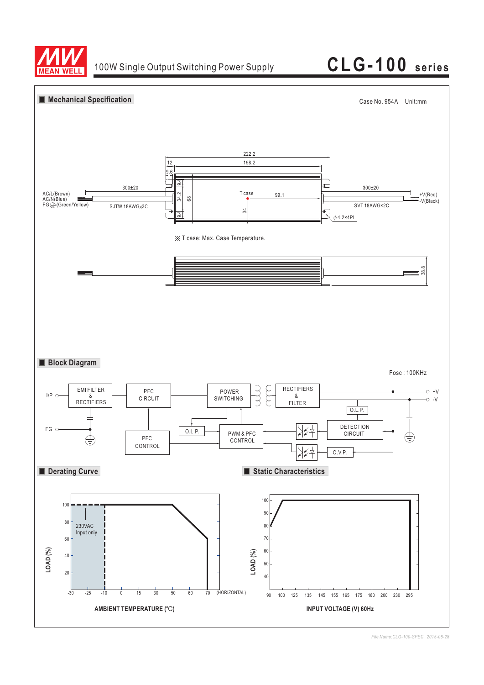

100W Single Output Switching Power Supply **CLG-100 series**



*File Name:CLG-100-SPEC 2015-08-28*